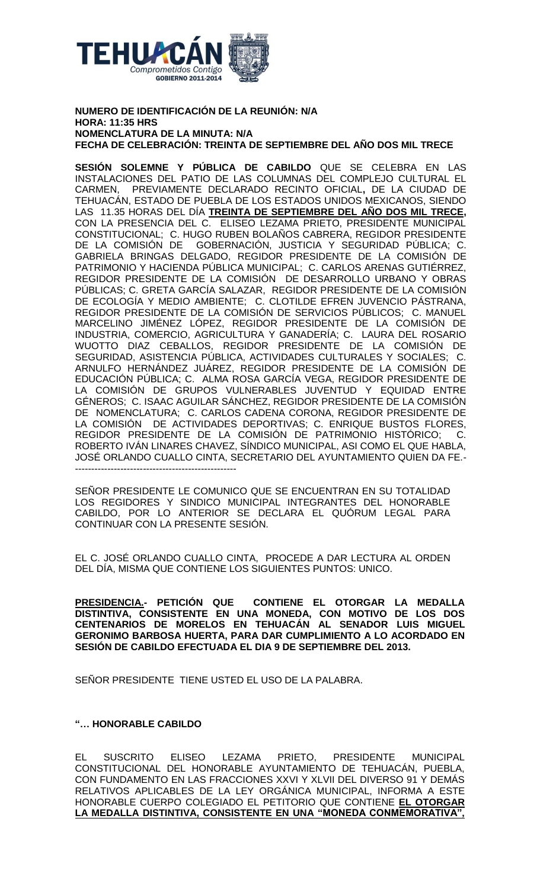

## **NUMERO DE IDENTIFICACIÓN DE LA REUNIÓN: N/A HORA: 11:35 HRS NOMENCLATURA DE LA MINUTA: N/A FECHA DE CELEBRACIÓN: TREINTA DE SEPTIEMBRE DEL AÑO DOS MIL TRECE**

**SESIÓN SOLEMNE Y PÚBLICA DE CABILDO** QUE SE CELEBRA EN LAS INSTALACIONES DEL PATIO DE LAS COLUMNAS DEL COMPLEJO CULTURAL EL CARMEN, PREVIAMENTE DECLARADO RECINTO OFICIAL**,** DE LA CIUDAD DE TEHUACÁN, ESTADO DE PUEBLA DE LOS ESTADOS UNIDOS MEXICANOS, SIENDO LAS 11.35 HORAS DEL DÍA **TREINTA DE SEPTIEMBRE DEL AÑO DOS MIL TRECE,** CON LA PRESENCIA DEL C. ELISEO LEZAMA PRIETO, PRESIDENTE MUNICIPAL CONSTITUCIONAL; C. HUGO RUBEN BOLAÑOS CABRERA, REGIDOR PRESIDENTE DE LA COMISIÓN DE GOBERNACIÓN, JUSTICIA Y SEGURIDAD PÚBLICA; C. GABRIELA BRINGAS DELGADO, REGIDOR PRESIDENTE DE LA COMISIÓN DE PATRIMONIO Y HACIENDA PÚBLICA MUNICIPAL; C. CARLOS ARENAS GUTIÉRREZ, REGIDOR PRESIDENTE DE LA COMISIÓN DE DESARROLLO URBANO Y OBRAS PÚBLICAS; C. GRETA GARCÍA SALAZAR, REGIDOR PRESIDENTE DE LA COMISIÓN DE ECOLOGÍA Y MEDIO AMBIENTE; C. CLOTILDE EFREN JUVENCIO PÁSTRANA, REGIDOR PRESIDENTE DE LA COMISIÓN DE SERVICIOS PÚBLICOS; C. MANUEL MARCELINO JIMÉNEZ LÓPEZ, REGIDOR PRESIDENTE DE LA COMISIÓN DE INDUSTRIA, COMERCIO, AGRICULTURA Y GANADERÍA; C. LAURA DEL ROSARIO WUOTTO DIAZ CEBALLOS, REGIDOR PRESIDENTE DE LA COMISIÓN DE SEGURIDAD, ASISTENCIA PÚBLICA, ACTIVIDADES CULTURALES Y SOCIALES; C. ARNULFO HERNÁNDEZ JUÁREZ, REGIDOR PRESIDENTE DE LA COMISIÓN DE EDUCACIÓN PÚBLICA; C. ALMA ROSA GARCÍA VEGA, REGIDOR PRESIDENTE DE LA COMISIÓN DE GRUPOS VULNERABLES JUVENTUD Y EQUIDAD ENTRE GÉNEROS; C. ISAAC AGUILAR SÁNCHEZ, REGIDOR PRESIDENTE DE LA COMISIÓN DE NOMENCLATURA; C. CARLOS CADENA CORONA, REGIDOR PRESIDENTE DE LA COMISIÓN DE ACTIVIDADES DEPORTIVAS; C. ENRIQUE BUSTOS FLORES, REGIDOR PRESIDENTE DE LA COMISIÓN DE PATRIMONIO HISTÓRICO; C. ROBERTO IVÁN LINARES CHAVEZ, SÍNDICO MUNICIPAL, ASI COMO EL QUE HABLA, JOSÉ ORLANDO CUALLO CINTA, SECRETARIO DEL AYUNTAMIENTO QUIEN DA FE.- --------------------------------------------------

SEÑOR PRESIDENTE LE COMUNICO QUE SE ENCUENTRAN EN SU TOTALIDAD LOS REGIDORES Y SINDICO MUNICIPAL INTEGRANTES DEL HONORABLE CABILDO, POR LO ANTERIOR SE DECLARA EL QUÓRUM LEGAL PARA CONTINUAR CON LA PRESENTE SESIÓN.

EL C. JOSÉ ORLANDO CUALLO CINTA, PROCEDE A DAR LECTURA AL ORDEN DEL DÍA, MISMA QUE CONTIENE LOS SIGUIENTES PUNTOS: UNICO.

**PRESIDENCIA.- PETICIÓN QUE CONTIENE EL OTORGAR LA MEDALLA DISTINTIVA, CONSISTENTE EN UNA MONEDA, CON MOTIVO DE LOS DOS CENTENARIOS DE MORELOS EN TEHUACÁN AL SENADOR LUIS MIGUEL GERONIMO BARBOSA HUERTA, PARA DAR CUMPLIMIENTO A LO ACORDADO EN SESIÓN DE CABILDO EFECTUADA EL DIA 9 DE SEPTIEMBRE DEL 2013.** 

SEÑOR PRESIDENTE TIENE USTED EL USO DE LA PALABRA.

## **"… HONORABLE CABILDO**

EL SUSCRITO ELISEO LEZAMA PRIETO, PRESIDENTE MUNICIPAL CONSTITUCIONAL DEL HONORABLE AYUNTAMIENTO DE TEHUACÁN, PUEBLA, CON FUNDAMENTO EN LAS FRACCIONES XXVI Y XLVII DEL DIVERSO 91 Y DEMÁS RELATIVOS APLICABLES DE LA LEY ORGÁNICA MUNICIPAL, INFORMA A ESTE HONORABLE CUERPO COLEGIADO EL PETITORIO QUE CONTIENE **EL OTORGAR**  LA MEDALLA DISTINTIVA, CONSISTENTE EN UNA "MONEDA CONMEMORATIVA"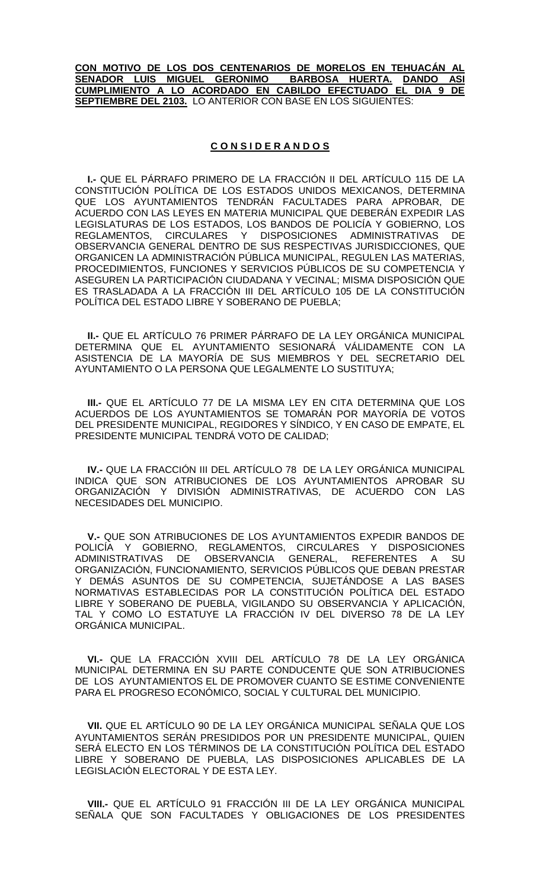**CON MOTIVO DE LOS DOS CENTENARIOS DE MORELOS EN TEHUACÁN AL SENADOR LUIS MIGUEL GERONIMO BARBOSA HUERTA. DANDO ASI CUMPLIMIENTO A LO ACORDADO EN CABILDO EFECTUADO EL DIA 9 DE SEPTIEMBRE DEL 2103.** LO ANTERIOR CON BASE EN LOS SIGUIENTES:

## **C O N S I D E R A N D O S**

**I.-** QUE EL PÁRRAFO PRIMERO DE LA FRACCIÓN II DEL ARTÍCULO 115 DE LA CONSTITUCIÓN POLÍTICA DE LOS ESTADOS UNIDOS MEXICANOS, DETERMINA QUE LOS AYUNTAMIENTOS TENDRÁN FACULTADES PARA APROBAR, DE ACUERDO CON LAS LEYES EN MATERIA MUNICIPAL QUE DEBERÁN EXPEDIR LAS LEGISLATURAS DE LOS ESTADOS, LOS BANDOS DE POLICÍA Y GOBIERNO, LOS<br>REGI AMENTOS - CIRCULARES - Y - DISPOSICIONES - ADMINISTRATIVAS - DE REGLAMENTOS, CIRCULARES Y DISPOSICIONES ADMINISTRATIVAS OBSERVANCIA GENERAL DENTRO DE SUS RESPECTIVAS JURISDICCIONES, QUE ORGANICEN LA ADMINISTRACIÓN PÚBLICA MUNICIPAL, REGULEN LAS MATERIAS, PROCEDIMIENTOS, FUNCIONES Y SERVICIOS PÚBLICOS DE SU COMPETENCIA Y ASEGUREN LA PARTICIPACIÓN CIUDADANA Y VECINAL; MISMA DISPOSICIÓN QUE ES TRASLADADA A LA FRACCIÓN III DEL ARTÍCULO 105 DE LA CONSTITUCIÓN POLÍTICA DEL ESTADO LIBRE Y SOBERANO DE PUEBLA;

**II.-** QUE EL ARTÍCULO 76 PRIMER PÁRRAFO DE LA LEY ORGÁNICA MUNICIPAL DETERMINA QUE EL AYUNTAMIENTO SESIONARÁ VÁLIDAMENTE CON LA ASISTENCIA DE LA MAYORÍA DE SUS MIEMBROS Y DEL SECRETARIO DEL AYUNTAMIENTO O LA PERSONA QUE LEGALMENTE LO SUSTITUYA;

**III.-** QUE EL ARTÍCULO 77 DE LA MISMA LEY EN CITA DETERMINA QUE LOS ACUERDOS DE LOS AYUNTAMIENTOS SE TOMARÁN POR MAYORÍA DE VOTOS DEL PRESIDENTE MUNICIPAL, REGIDORES Y SÍNDICO, Y EN CASO DE EMPATE, EL PRESIDENTE MUNICIPAL TENDRÁ VOTO DE CALIDAD;

**IV.-** QUE LA FRACCIÓN III DEL ARTÍCULO 78 DE LA LEY ORGÁNICA MUNICIPAL INDICA QUE SON ATRIBUCIONES DE LOS AYUNTAMIENTOS APROBAR SU ORGANIZACIÓN Y DIVISIÓN ADMINISTRATIVAS, DE ACUERDO CON LAS NECESIDADES DEL MUNICIPIO.

**V.-** QUE SON ATRIBUCIONES DE LOS AYUNTAMIENTOS EXPEDIR BANDOS DE POLICÍA Y GOBIERNO, REGLAMENTOS, CIRCULARES Y DISPOSICIONES ADMINISTRATIVAS DE OBSERVANCIA GENERAL, REFERENTES A SU ORGANIZACIÓN, FUNCIONAMIENTO, SERVICIOS PÚBLICOS QUE DEBAN PRESTAR Y DEMÁS ASUNTOS DE SU COMPETENCIA, SUJETÁNDOSE A LAS BASES NORMATIVAS ESTABLECIDAS POR LA CONSTITUCIÓN POLÍTICA DEL ESTADO LIBRE Y SOBERANO DE PUEBLA, VIGILANDO SU OBSERVANCIA Y APLICACIÓN, TAL Y COMO LO ESTATUYE LA FRACCIÓN IV DEL DIVERSO 78 DE LA LEY ORGÁNICA MUNICIPAL.

**VI.-** QUE LA FRACCIÓN XVIII DEL ARTÍCULO 78 DE LA LEY ORGÁNICA MUNICIPAL DETERMINA EN SU PARTE CONDUCENTE QUE SON ATRIBUCIONES DE LOS AYUNTAMIENTOS EL DE PROMOVER CUANTO SE ESTIME CONVENIENTE PARA EL PROGRESO ECONÓMICO, SOCIAL Y CULTURAL DEL MUNICIPIO.

**VII.** QUE EL ARTÍCULO 90 DE LA LEY ORGÁNICA MUNICIPAL SEÑALA QUE LOS AYUNTAMIENTOS SERÁN PRESIDIDOS POR UN PRESIDENTE MUNICIPAL, QUIEN SERÁ ELECTO EN LOS TÉRMINOS DE LA CONSTITUCIÓN POLÍTICA DEL ESTADO LIBRE Y SOBERANO DE PUEBLA, LAS DISPOSICIONES APLICABLES DE LA LEGISLACIÓN ELECTORAL Y DE ESTA LEY.

**VIII.-** QUE EL ARTÍCULO 91 FRACCIÓN III DE LA LEY ORGÁNICA MUNICIPAL SEÑALA QUE SON FACULTADES Y OBLIGACIONES DE LOS PRESIDENTES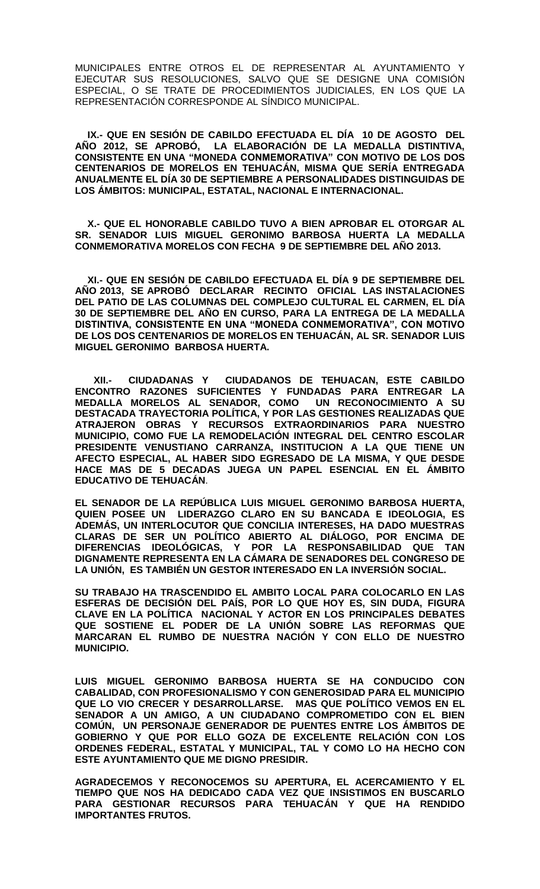MUNICIPALES ENTRE OTROS EL DE REPRESENTAR AL AYUNTAMIENTO Y EJECUTAR SUS RESOLUCIONES, SALVO QUE SE DESIGNE UNA COMISIÓN ESPECIAL, O SE TRATE DE PROCEDIMIENTOS JUDICIALES, EN LOS QUE LA REPRESENTACIÓN CORRESPONDE AL SÍNDICO MUNICIPAL.

**IX.- QUE EN SESIÓN DE CABILDO EFECTUADA EL DÍA 10 DE AGOSTO DEL AÑO 2012, SE APROBÓ, LA ELABORACIÓN DE LA MEDALLA DISTINTIVA, CONSISTENTE EN UNA "MONEDA CONMEMORATIVA" CON MOTIVO DE LOS DOS CENTENARIOS DE MORELOS EN TEHUACÁN, MISMA QUE SERÍA ENTREGADA ANUALMENTE EL DÍA 30 DE SEPTIEMBRE A PERSONALIDADES DISTINGUIDAS DE LOS ÁMBITOS: MUNICIPAL, ESTATAL, NACIONAL E INTERNACIONAL.**

**X.- QUE EL HONORABLE CABILDO TUVO A BIEN APROBAR EL OTORGAR AL SR. SENADOR LUIS MIGUEL GERONIMO BARBOSA HUERTA LA MEDALLA CONMEMORATIVA MORELOS CON FECHA 9 DE SEPTIEMBRE DEL AÑO 2013.**

**XI.- QUE EN SESIÓN DE CABILDO EFECTUADA EL DÍA 9 DE SEPTIEMBRE DEL AÑO 2013, SE APROBÓ DECLARAR RECINTO OFICIAL LAS INSTALACIONES DEL PATIO DE LAS COLUMNAS DEL COMPLEJO CULTURAL EL CARMEN, EL DÍA 30 DE SEPTIEMBRE DEL AÑO EN CURSO, PARA LA ENTREGA DE LA MEDALLA DISTINTIVA, CONSISTENTE EN UNA "MONEDA CONMEMORATIVA", CON MOTIVO DE LOS DOS CENTENARIOS DE MORELOS EN TEHUACÁN, AL SR. SENADOR LUIS MIGUEL GERONIMO BARBOSA HUERTA.**

 **XII.- CIUDADANAS Y CIUDADANOS DE TEHUACAN, ESTE CABILDO ENCONTRO RAZONES SUFICIENTES Y FUNDADAS PARA ENTREGAR LA MEDALLA MORELOS AL SENADOR, COMO DESTACADA TRAYECTORIA POLÍTICA, Y POR LAS GESTIONES REALIZADAS QUE ATRAJERON OBRAS Y RECURSOS EXTRAORDINARIOS PARA NUESTRO MUNICIPIO, COMO FUE LA REMODELACIÓN INTEGRAL DEL CENTRO ESCOLAR PRESIDENTE VENUSTIANO CARRANZA, INSTITUCION A LA QUE TIENE UN AFECTO ESPECIAL, AL HABER SIDO EGRESADO DE LA MISMA, Y QUE DESDE HACE MAS DE 5 DECADAS JUEGA UN PAPEL ESENCIAL EN EL ÁMBITO EDUCATIVO DE TEHUACÁN**.

**EL SENADOR DE LA REPÚBLICA LUIS MIGUEL GERONIMO BARBOSA HUERTA, QUIEN POSEE UN LIDERAZGO CLARO EN SU BANCADA E IDEOLOGIA, ES ADEMÁS, UN INTERLOCUTOR QUE CONCILIA INTERESES, HA DADO MUESTRAS CLARAS DE SER UN POLÍTICO ABIERTO AL DIÁLOGO, POR ENCIMA DE DIFERENCIAS IDEOLÓGICAS, Y POR LA RESPONSABILIDAD QUE TAN DIGNAMENTE REPRESENTA EN LA CÁMARA DE SENADORES DEL CONGRESO DE LA UNIÓN, ES TAMBIÉN UN GESTOR INTERESADO EN LA INVERSIÓN SOCIAL.**

**SU TRABAJO HA TRASCENDIDO EL AMBITO LOCAL PARA COLOCARLO EN LAS ESFERAS DE DECISIÓN DEL PAÍS, POR LO QUE HOY ES, SIN DUDA, FIGURA CLAVE EN LA POLÍTICA NACIONAL Y ACTOR EN LOS PRINCIPALES DEBATES QUE SOSTIENE EL PODER DE LA UNIÓN SOBRE LAS REFORMAS QUE MARCARAN EL RUMBO DE NUESTRA NACIÓN Y CON ELLO DE NUESTRO MUNICIPIO.**

**LUIS MIGUEL GERONIMO BARBOSA HUERTA SE HA CONDUCIDO CON CABALIDAD, CON PROFESIONALISMO Y CON GENEROSIDAD PARA EL MUNICIPIO QUE LO VIO CRECER Y DESARROLLARSE. MAS QUE POLÍTICO VEMOS EN EL SENADOR A UN AMIGO, A UN CIUDADANO COMPROMETIDO CON EL BIEN COMÚN, UN PERSONAJE GENERADOR DE PUENTES ENTRE LOS ÁMBITOS DE GOBIERNO Y QUE POR ELLO GOZA DE EXCELENTE RELACIÓN CON LOS ORDENES FEDERAL, ESTATAL Y MUNICIPAL, TAL Y COMO LO HA HECHO CON ESTE AYUNTAMIENTO QUE ME DIGNO PRESIDIR.** 

**AGRADECEMOS Y RECONOCEMOS SU APERTURA, EL ACERCAMIENTO Y EL TIEMPO QUE NOS HA DEDICADO CADA VEZ QUE INSISTIMOS EN BUSCARLO PARA GESTIONAR RECURSOS PARA TEHUACÁN Y QUE HA RENDIDO IMPORTANTES FRUTOS.**